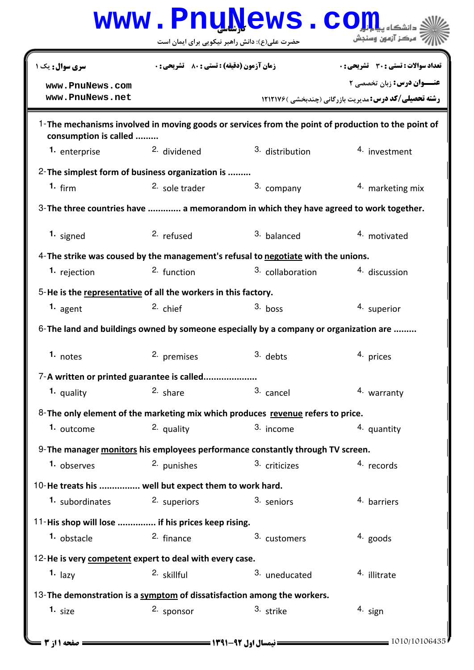|                                                                                          |                                               | <b>www.Pnu̯News.co</b> |                                                                                                    |
|------------------------------------------------------------------------------------------|-----------------------------------------------|------------------------|----------------------------------------------------------------------------------------------------|
|                                                                                          | حضرت علی(ع): دانش راهبر نیکویی برای ایمان است |                        | مركز آزمون وسنجش                                                                                   |
| سری سوال: یک ۱                                                                           | زمان آزمون (دقیقه) : تستی : 80 ٪ تشریحی : 0   |                        | <b>تعداد سوالات : تستي : 30 ٪ تشريحي : 0</b>                                                       |
| www.PnuNews.com<br>www.PnuNews.net                                                       |                                               |                        | <b>عنــوان درس: زبان تخصصی 2</b><br><b>رشته تحصیلی/کد درس: مدیریت بازرگانی (چندبخشی ) 1212176</b>  |
| consumption is called                                                                    |                                               |                        | 1-The mechanisms involved in moving goods or services from the point of production to the point of |
| 1. enterprise                                                                            | <sup>2.</sup> dividened                       | 3. distribution        | 4. investment                                                                                      |
| 2- The simplest form of business organization is                                         |                                               |                        |                                                                                                    |
| 1. $firm$                                                                                | $2.$ sole trader                              | 3. company             | 4. marketing mix                                                                                   |
| 3-The three countries have  a memorandom in which they have agreed to work together.     |                                               |                        |                                                                                                    |
| 1. signed                                                                                | 2. refused                                    | 3. balanced            | 4. motivated                                                                                       |
| 4- The strike was coused by the management's refusal to negotiate with the unions.       |                                               |                        |                                                                                                    |
| 1. rejection                                                                             | 2. function                                   | 3. collaboration       | 4. discussion                                                                                      |
| 5-He is the representative of all the workers in this factory.                           |                                               |                        |                                                                                                    |
| 1. agent                                                                                 | 2. chief                                      | $3.$ boss              | 4. superior                                                                                        |
| $6$ -The land and buildings owned by someone especially by a company or organization are |                                               |                        |                                                                                                    |
| 1. notes                                                                                 | 2. premises                                   | $3.$ debts             | 4. prices                                                                                          |
| 7-A written or printed guarantee is called                                               |                                               |                        |                                                                                                    |
| 1. quality                                                                               | $2.$ share                                    | 3. cancel              | 4. warranty                                                                                        |
| 8-The only element of the marketing mix which produces revenue refers to price.          |                                               |                        |                                                                                                    |
| 1. outcome                                                                               | 2. quality                                    | 3. income              | 4. quantity                                                                                        |
| 9- The manager monitors his employees performance constantly through TV screen.          |                                               |                        |                                                                                                    |
| 1. observes                                                                              | 2. punishes                                   | 3. criticizes          | 4. records                                                                                         |
| 10-He treats his  well but expect them to work hard.                                     |                                               |                        |                                                                                                    |
| 1. subordinates                                                                          | 2. superiors                                  | 3. seniors             | 4. barriers                                                                                        |
| 11-His shop will lose  if his prices keep rising.                                        |                                               |                        |                                                                                                    |
| <sup>1.</sup> obstacle                                                                   | 2. finance                                    | 3. customers           | $4.$ goods                                                                                         |
| 12-He is very competent expert to deal with every case.                                  |                                               |                        |                                                                                                    |
| 1. $_{\text{lazy}}$                                                                      | 2. skillful                                   | 3. uneducated          | 4. illitrate                                                                                       |
| 13- The demonstration is a symptom of dissatisfaction among the workers.                 |                                               |                        |                                                                                                    |
| 1. $size$                                                                                | 2. sponsor                                    | 3. strike              | 4. sign                                                                                            |
|                                                                                          |                                               |                        |                                                                                                    |
| صفحه 11; 3                                                                               |                                               |                        | 1010/10106435                                                                                      |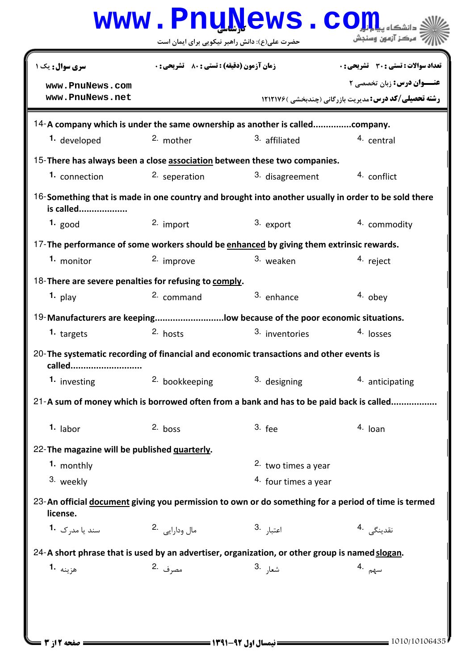|                                                                                                                  | www.PnuNews.co                                |                       |                                                              |  |  |  |
|------------------------------------------------------------------------------------------------------------------|-----------------------------------------------|-----------------------|--------------------------------------------------------------|--|--|--|
|                                                                                                                  | حضرت علی(ع): دانش راهبر نیکویی برای ایمان است |                       | مركز آزمون وسنجش                                             |  |  |  |
| سری سوال: یک ۱                                                                                                   | زمان آزمون (دقیقه) : تستی : 80 ٪ تشریحی : 0   |                       | تعداد سوالات : تستي : 30 ٪ تشريحي : 0                        |  |  |  |
| www.PnuNews.com<br>www.PnuNews.net                                                                               |                                               |                       | <b>عنــوان درس:</b> زبان تخصصی ۲                             |  |  |  |
|                                                                                                                  |                                               |                       | <b>رشته تحصیلی/کد درس:</b> مدیریت بازرگانی (چندبخشی )۱۲۱۲۱۷۶ |  |  |  |
| 14-A company which is under the same ownership as another is calledcompany.                                      |                                               |                       |                                                              |  |  |  |
| 1. developed                                                                                                     | 2. mother                                     | 3. affiliated         | 4. central                                                   |  |  |  |
| 15-There has always been a close association between these two companies.                                        |                                               |                       |                                                              |  |  |  |
| 1. connection                                                                                                    | 2. seperation                                 | 3. disagreement       | 4. conflict                                                  |  |  |  |
| 16-Something that is made in one country and brought into another usually in order to be sold there<br>is called |                                               |                       |                                                              |  |  |  |
| 1. good                                                                                                          | 2. import                                     | 3. export             | 4. commodity                                                 |  |  |  |
| 17-The performance of some workers should be enhanced by giving them extrinsic rewards.                          |                                               |                       |                                                              |  |  |  |
| 1. monitor                                                                                                       | 2. improve                                    | 3. weaken             | 4. reject                                                    |  |  |  |
| 18-There are severe penalties for refusing to comply.                                                            |                                               |                       |                                                              |  |  |  |
| $1.$ play                                                                                                        | 2. command                                    | 3. enhance            | 4. obey                                                      |  |  |  |
| 19-Manufacturers are keepinglow because of the poor economic situations.                                         |                                               |                       |                                                              |  |  |  |
| 1. targets                                                                                                       | 2. hosts                                      | 3. inventories        | 4. losses                                                    |  |  |  |
| 20-The systematic recording of financial and economic transactions and other events is<br>called                 |                                               |                       |                                                              |  |  |  |
| 1. investing                                                                                                     | <sup>2.</sup> bookkeeping                     | 3. designing          | 4. anticipating                                              |  |  |  |
| 21-A sum of money which is borrowed often from a bank and has to be paid back is called                          |                                               |                       |                                                              |  |  |  |
| $1.$ labor                                                                                                       | $2.$ boss                                     | $3.$ fee              | 4. Ioan                                                      |  |  |  |
| 22-The magazine will be published quarterly.                                                                     |                                               |                       |                                                              |  |  |  |
| 1. monthly                                                                                                       |                                               | 2. two times a year   |                                                              |  |  |  |
| 3. weekly                                                                                                        |                                               | 4. four times a year  |                                                              |  |  |  |
| 23-An official document giving you permission to own or do something for a period of time is termed<br>license.  |                                               |                       |                                                              |  |  |  |
| سند یا مد <sub>ر</sub> ک <b>1</b> ۰                                                                              | مال ودارايي 2.                                | اعتبا <sub>ر</sub> .3 | نقدينگ <i>ي</i> <sup>4</sup> ۰                               |  |  |  |
| 24-A short phrase that is used by an advertiser, organization, or other group is named slogan.                   |                                               |                       |                                                              |  |  |  |
| هزينه 1.                                                                                                         | مصرف .2                                       | شعا <sub>ر</sub> .3   | ىس <sub>ەم</sub> .4                                          |  |  |  |
|                                                                                                                  |                                               |                       |                                                              |  |  |  |
|                                                                                                                  |                                               |                       |                                                              |  |  |  |
|                                                                                                                  |                                               |                       |                                                              |  |  |  |